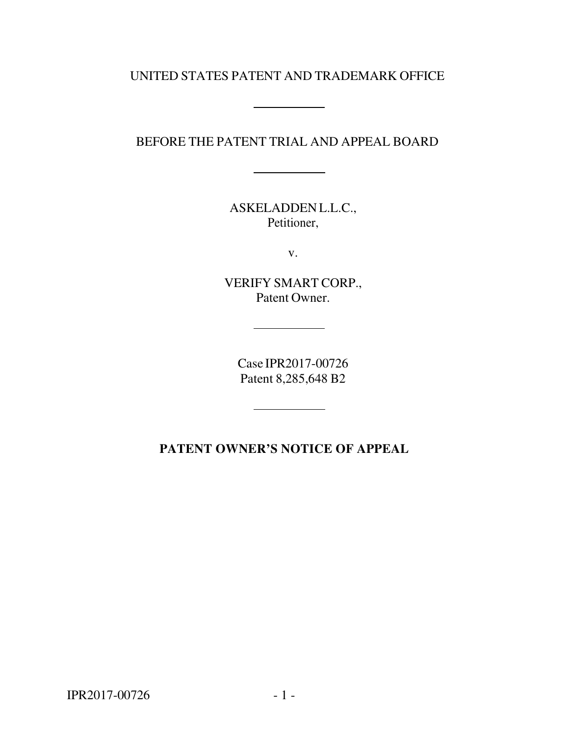## UNITED STATES PATENT AND TRADEMARK OFFICE

## BEFORE THE PATENT TRIAL AND APPEAL BOARD

ASKELADDEN L.L.C., Petitioner,

v.

VERIFY SMART CORP., Patent Owner.

Case IPR2017-00726 Patent 8,285,648 B2

 $\overline{\phantom{a}}$ 

# **PATENT OWNER'S NOTICE OF APPEAL**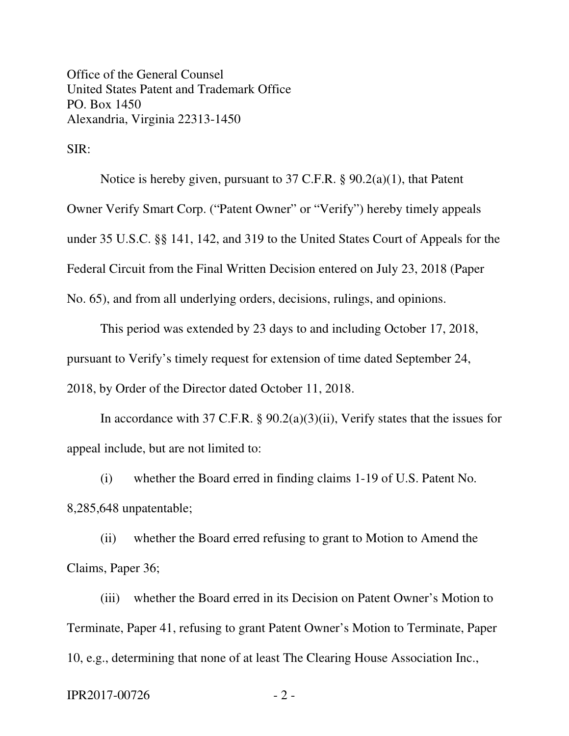Office of the General Counsel United States Patent and Trademark Office PO. Box 1450 Alexandria, Virginia 22313-1450

SIR:

Notice is hereby given, pursuant to 37 C.F.R. § 90.2(a)(1), that Patent Owner Verify Smart Corp. ("Patent Owner" or "Verify") hereby timely appeals under 35 U.S.C. §§ 141, 142, and 319 to the United States Court of Appeals for the Federal Circuit from the Final Written Decision entered on July 23, 2018 (Paper No. 65), and from all underlying orders, decisions, rulings, and opinions.

This period was extended by 23 days to and including October 17, 2018, pursuant to Verify's timely request for extension of time dated September 24, 2018, by Order of the Director dated October 11, 2018.

In accordance with 37 C.F.R. § 90.2(a)(3)(ii), Verify states that the issues for appeal include, but are not limited to:

(i) whether the Board erred in finding claims 1-19 of U.S. Patent No. 8,285,648 unpatentable;

(ii) whether the Board erred refusing to grant to Motion to Amend the Claims, Paper 36;

(iii) whether the Board erred in its Decision on Patent Owner's Motion to Terminate, Paper 41, refusing to grant Patent Owner's Motion to Terminate, Paper 10, e.g., determining that none of at least The Clearing House Association Inc.,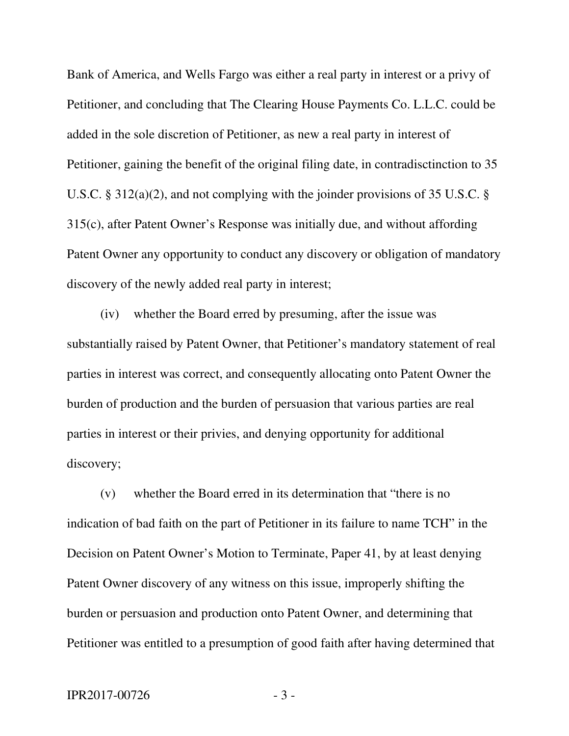Bank of America, and Wells Fargo was either a real party in interest or a privy of Petitioner, and concluding that The Clearing House Payments Co. L.L.C. could be added in the sole discretion of Petitioner, as new a real party in interest of Petitioner, gaining the benefit of the original filing date, in contradisctinction to 35 U.S.C. § 312(a)(2), and not complying with the joinder provisions of 35 U.S.C. § 315(c), after Patent Owner's Response was initially due, and without affording Patent Owner any opportunity to conduct any discovery or obligation of mandatory discovery of the newly added real party in interest;

(iv) whether the Board erred by presuming, after the issue was substantially raised by Patent Owner, that Petitioner's mandatory statement of real parties in interest was correct, and consequently allocating onto Patent Owner the burden of production and the burden of persuasion that various parties are real parties in interest or their privies, and denying opportunity for additional discovery;

(v) whether the Board erred in its determination that "there is no indication of bad faith on the part of Petitioner in its failure to name TCH" in the Decision on Patent Owner's Motion to Terminate, Paper 41, by at least denying Patent Owner discovery of any witness on this issue, improperly shifting the burden or persuasion and production onto Patent Owner, and determining that Petitioner was entitled to a presumption of good faith after having determined that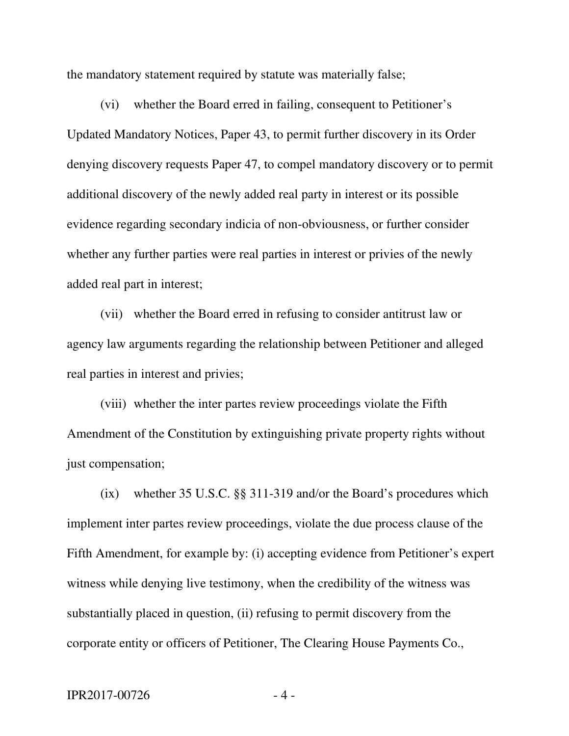the mandatory statement required by statute was materially false;

(vi) whether the Board erred in failing, consequent to Petitioner's Updated Mandatory Notices, Paper 43, to permit further discovery in its Order denying discovery requests Paper 47, to compel mandatory discovery or to permit additional discovery of the newly added real party in interest or its possible evidence regarding secondary indicia of non-obviousness, or further consider whether any further parties were real parties in interest or privies of the newly added real part in interest;

(vii) whether the Board erred in refusing to consider antitrust law or agency law arguments regarding the relationship between Petitioner and alleged real parties in interest and privies;

(viii) whether the inter partes review proceedings violate the Fifth Amendment of the Constitution by extinguishing private property rights without just compensation;

(ix) whether 35 U.S.C. §§ 311-319 and/or the Board's procedures which implement inter partes review proceedings, violate the due process clause of the Fifth Amendment, for example by: (i) accepting evidence from Petitioner's expert witness while denying live testimony, when the credibility of the witness was substantially placed in question, (ii) refusing to permit discovery from the corporate entity or officers of Petitioner, The Clearing House Payments Co.,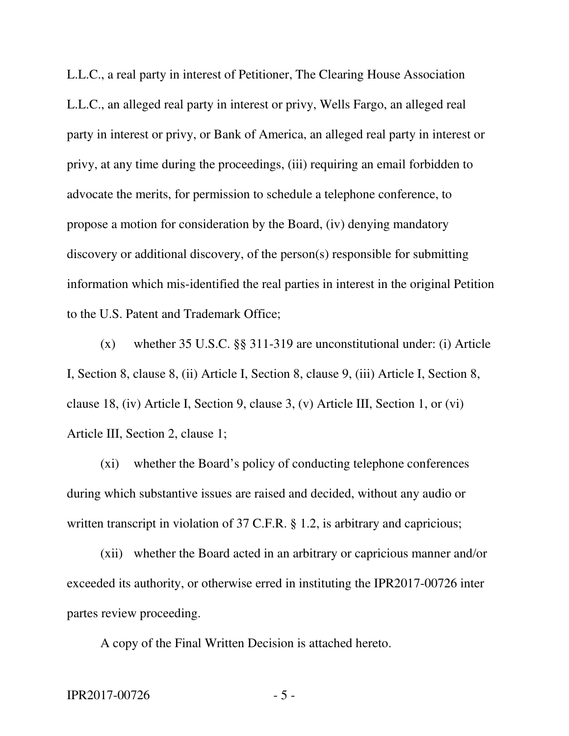L.L.C., a real party in interest of Petitioner, The Clearing House Association L.L.C., an alleged real party in interest or privy, Wells Fargo, an alleged real party in interest or privy, or Bank of America, an alleged real party in interest or privy, at any time during the proceedings, (iii) requiring an email forbidden to advocate the merits, for permission to schedule a telephone conference, to propose a motion for consideration by the Board, (iv) denying mandatory discovery or additional discovery, of the person(s) responsible for submitting information which mis-identified the real parties in interest in the original Petition to the U.S. Patent and Trademark Office;

(x) whether 35 U.S.C. §§ 311-319 are unconstitutional under: (i) Article I, Section 8, clause 8, (ii) Article I, Section 8, clause 9, (iii) Article I, Section 8, clause 18, (iv) Article I, Section 9, clause 3, (v) Article III, Section 1, or (vi) Article III, Section 2, clause 1;

(xi) whether the Board's policy of conducting telephone conferences during which substantive issues are raised and decided, without any audio or written transcript in violation of 37 C.F.R. § 1.2, is arbitrary and capricious;

(xii) whether the Board acted in an arbitrary or capricious manner and/or exceeded its authority, or otherwise erred in instituting the IPR2017-00726 inter partes review proceeding.

A copy of the Final Written Decision is attached hereto.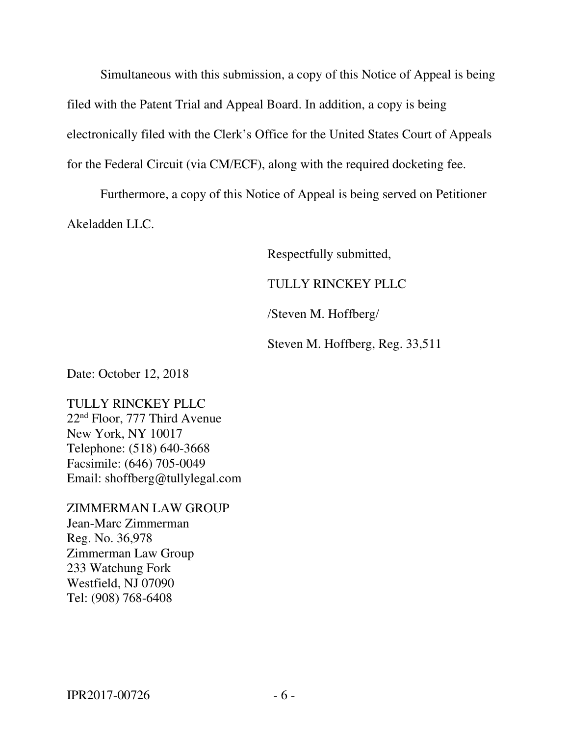Simultaneous with this submission, a copy of this Notice of Appeal is being filed with the Patent Trial and Appeal Board. In addition, a copy is being electronically filed with the Clerk's Office for the United States Court of Appeals for the Federal Circuit (via CM/ECF), along with the required docketing fee.

Furthermore, a copy of this Notice of Appeal is being served on Petitioner Akeladden LLC.

Respectfully submitted,

### TULLY RINCKEY PLLC

/Steven M. Hoffberg/

Steven M. Hoffberg, Reg. 33,511

Date: October 12, 2018

TULLY RINCKEY PLLC 22nd Floor, 777 Third Avenue New York, NY 10017 Telephone: (518) 640-3668 Facsimile: (646) 705-0049 Email: shoffberg@tullylegal.com

ZIMMERMAN LAW GROUP Jean-Marc Zimmerman Reg. No. 36,978 Zimmerman Law Group 233 Watchung Fork Westfield, NJ 07090 Tel: (908) 768-6408